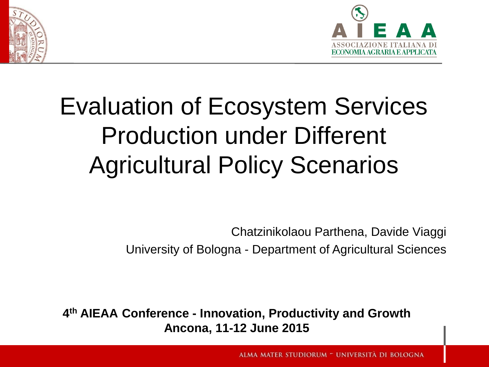



# Evaluation of Ecosystem Services Production under Different Agricultural Policy Scenarios

Chatzinikolaou Parthena, Davide Viaggi University of Bologna - Department of Agricultural Sciences

**4 th AIEAA Conference - Innovation, Productivity and Growth Ancona, 11-12 June 2015**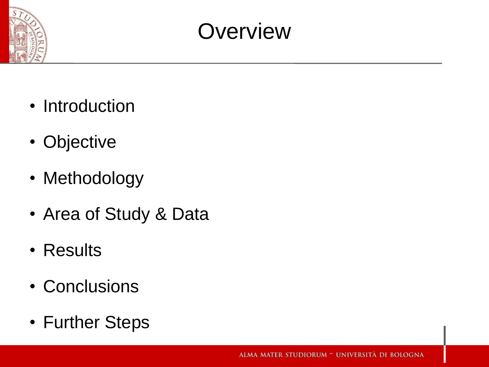

### **Overview**

- Introduction
- Objective
- Methodology
- Area of Study & Data
- Results
- Conclusions
- Further Steps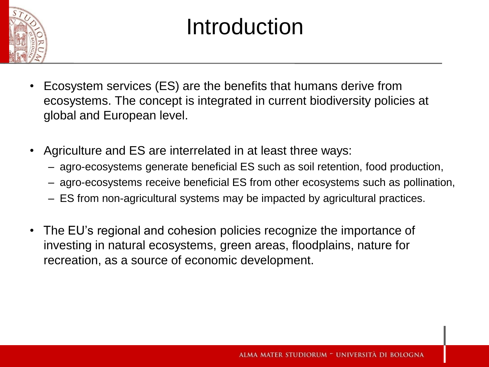

## Introduction

- Ecosystem services (ES) are the benefits that humans derive from ecosystems. The concept is integrated in current biodiversity policies at global and European level.
- Agriculture and ES are interrelated in at least three ways:
	- agro-ecosystems generate beneficial ES such as soil retention, food production,
	- agro-ecosystems receive beneficial ES from other ecosystems such as pollination,
	- ES from non-agricultural systems may be impacted by agricultural practices.
- The EU's regional and cohesion policies recognize the importance of investing in natural ecosystems, green areas, floodplains, nature for recreation, as a source of economic development.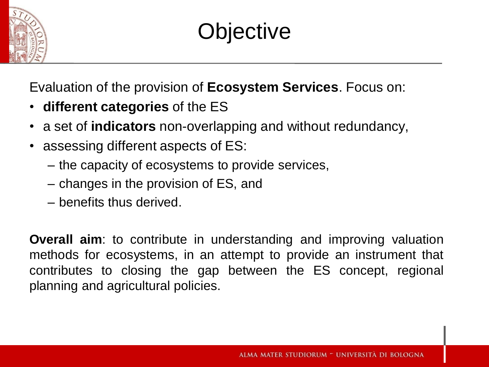

## **Objective**

Evaluation of the provision of **Ecosystem Services**. Focus on:

- **different categories** of the ES
- a set of **indicators** non-overlapping and without redundancy,
- assessing different aspects of ES:
	- the capacity of ecosystems to provide services,
	- changes in the provision of ES, and
	- benefits thus derived.

**Overall aim**: to contribute in understanding and improving valuation methods for ecosystems, in an attempt to provide an instrument that contributes to closing the gap between the ES concept, regional planning and agricultural policies.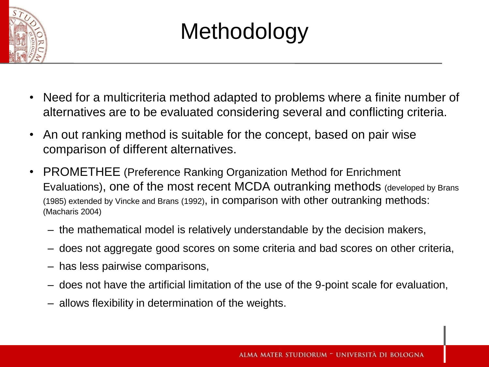

# **Methodology**

- Need for a multicriteria method adapted to problems where a finite number of alternatives are to be evaluated considering several and conflicting criteria.
- An out ranking method is suitable for the concept, based on pair wise comparison of different alternatives.
- PROMETHEE (Preference Ranking Organization Method for Enrichment Evaluations), one of the most recent MCDA outranking methods (developed by Brans (1985) extended by Vincke and Brans (1992), in comparison with other outranking methods: (Macharis 2004)
	- the mathematical model is relatively understandable by the decision makers,
	- does not aggregate good scores on some criteria and bad scores on other criteria,
	- has less pairwise comparisons,
	- does not have the artificial limitation of the use of the 9-point scale for evaluation,
	- allows flexibility in determination of the weights.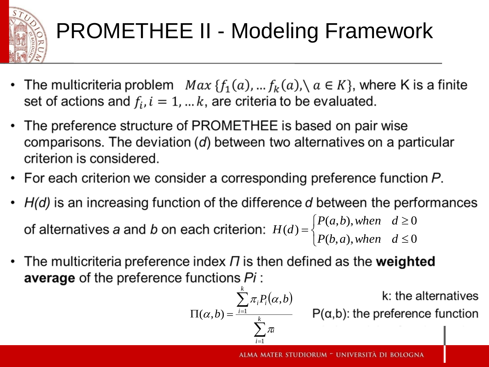

# PROMETHEE II - Modeling Framework

- The multicriteria problem  $Max{f_1(a), ... f_k(a)}, a \in K}$ , where K is a finite set of actions and  $f_i$ ,  $i = 1, ... k$ , are criteria to be evaluated.
- The preference structure of PROMETHEE is based on pair wise comparisons. The deviation  $(d)$  between two alternatives on a particular criterion is considered.
- For each criterion we consider a corresponding preference function  $P$ .
- $H(d)$  is an increasing function of the difference d between the performances  $P(a,b)$  $(a, b),$ *when d*  $\geq$ 0  $\left\lceil$ *H d*  $\left( d\right)$  $=$  $\left\{ \right.$  $P(b, a)$  $(b, a),$ *when d*  $\leq$ 0  $\overline{\mathcal{L}}$
- The multicriteria preference index  $\Pi$  is then defined as the weighted **average** of the preference functions Pi:

$$
\Pi(\alpha, b) = \frac{\sum_{i=1}^{k} \pi_i P_i(\alpha, b)}{\sum_{i=1}^{k} \pi_i}
$$

 $P(\alpha, b)$ : the preference function

k: the alternatives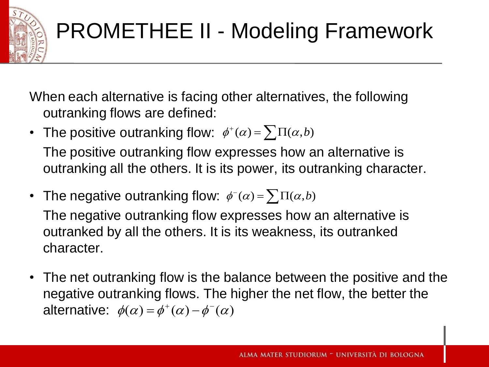

# PROMETHEE II - Modeling Framework

When each alternative is facing other alternatives, the following outranking flows are defined:

- The positive outranking flow:  $\phi^{\dagger}(\alpha) = \sum \Pi(\alpha, b)$ The positive outranking flow expresses how an alternative is outranking all the others. It is its power, its outranking character.
- The negative outranking flow:  $\phi^-(\alpha) = \sum \Pi(\alpha, b)$ The negative outranking flow expresses how an alternative is outranked by all the others. It is its weakness, its outranked character.
- The net outranking flow is the balance between the positive and the negative outranking flows. The higher the net flow, the better the alternative:  $\phi(\alpha) = \phi^+(\alpha) - \phi^-(\alpha)$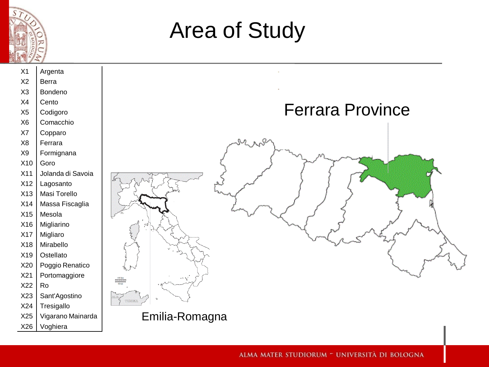

## Area of Study

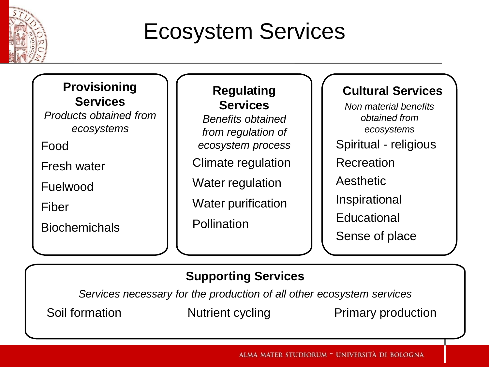

## Ecosystem Services

#### **Provisioning Services**

*Products obtained from ecosystems*

Food

Fresh water

Fuelwood

Fiber

Biochemichals

#### **Regulating Services**

*Benefits obtained from regulation of ecosystem process* Climate regulation

Water regulation

Water purification

Pollination

#### **Cultural Services**

*Non material benefits obtained from ecosystems* Spiritual - religious **Recreation** Aesthetic Inspirational **Educational** Sense of place

#### **Supporting Services**

*Services necessary for the production of all other ecosystem services*

Soil formation **Nutrient cycling** Primary production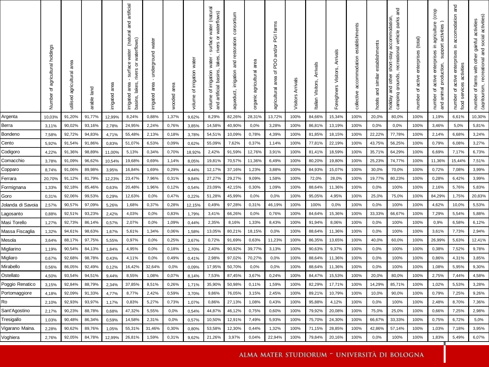|                   | agricultural holdings<br>৳<br>Number | area<br>agricultural<br>utilised | land<br>arable | irrigated area | artificial<br>and<br>(natural<br>rivers or waterflows)<br>- surface water<br>basins, lakes,<br>irrigated area | water<br>underground<br>area<br>irrigated | area<br>wooded | irrigation water<br>৳<br>volume | surface water (natural<br>waterflows)<br>ট<br>rivers<br>lakes,<br>irrigation water<br>basins,<br>artificial<br>৳<br>volume<br>and | consortium<br>restoration<br>and<br>irrigation<br>aqueduct, | area<br>agricultural<br>organic | PGI farms<br>and/or<br>of PDO<br>agricultural area | Arrivals<br>Visitors | Arrivals<br>Visitors,<br>Italian | Arrivals<br>Visitors,<br>Foreighners | establishments<br>accommodation<br>collective | establishments<br>and similar<br>hotels | and<br>parks<br>accommodation<br>vehicle<br>recreational<br>short-stay<br>grounds,<br>other<br>and<br>camping<br>holiday | active enterprises (total)<br>$\Delta$<br>number | active enterprises in agriculture (crop<br>activities<br>support<br>production,<br>animal<br>đ<br>number<br>and | and<br>accomodation<br>크.<br>enterprises<br>activities<br>active<br>services<br>$\rm 2$<br>number<br>food | (agritourism, recreational and social activities)<br>activities<br>gainful<br>farms with other<br>đ<br>number |
|-------------------|--------------------------------------|----------------------------------|----------------|----------------|---------------------------------------------------------------------------------------------------------------|-------------------------------------------|----------------|---------------------------------|-----------------------------------------------------------------------------------------------------------------------------------|-------------------------------------------------------------|---------------------------------|----------------------------------------------------|----------------------|----------------------------------|--------------------------------------|-----------------------------------------------|-----------------------------------------|--------------------------------------------------------------------------------------------------------------------------|--------------------------------------------------|-----------------------------------------------------------------------------------------------------------------|-----------------------------------------------------------------------------------------------------------|---------------------------------------------------------------------------------------------------------------|
| Argenta           | 10,03%                               | 91,20%                           | 91,77%         | 12,99%         | 8,24%                                                                                                         | 0,88%                                     | 1,37%          | 9,62%                           | 8,29%                                                                                                                             | 82,26%                                                      | 28,31%                          | 13,72%                                             | 100%                 | 84,66%                           | 15,34%                               | 100%                                          | 20,0%                                   | 80,0%                                                                                                                    | 100%                                             | 1,19%                                                                                                           | 6,61%                                                                                                     | 10,30%                                                                                                        |
| Berra             | 3,11%                                | 90,02%                           | 93,16%         | 2,78%          | 24,95%                                                                                                        | 2,24%                                     | 0,76%          | 3,85%                           | 14,58%                                                                                                                            | 40,90%                                                      | 0,0%                            | 3,28%                                              | 100%                 | 86,81%                           | 13,19%                               | 100%                                          | 0,0%                                    | 0.0%                                                                                                                     | 100%                                             | 3,46%                                                                                                           | 5,0%                                                                                                      | 5,81%                                                                                                         |
| Bondeno           | 7,58%                                | 92,72%                           | 94,83%         | 4,71%          | 55,48%                                                                                                        | 2,13%                                     | 0,18%          | 3,78%                           | 54,51%                                                                                                                            | 10,09%                                                      | 0,78%                           | 4,39%                                              | 100%                 | 81,85%                           | 18,15%                               | 100%                                          | 22,22%                                  | 77,78%                                                                                                                   | 100%                                             | 2,14%                                                                                                           | 6,68%                                                                                                     | 3,24%                                                                                                         |
| Cento             | 5,92%                                | 91,54%                           | 91,86%         | 0,83%          | 51,07%                                                                                                        | 6,53%                                     | 0,09%          | 0,62%                           | 55,09%                                                                                                                            | 7,62%                                                       | 0,37%                           | 1,14%                                              | 100%                 | 77,81%                           | 22,19%                               | 100%                                          | 43,75%                                  | 56,25%                                                                                                                   | 100%                                             | 0,79%                                                                                                           | 6,08%                                                                                                     | 3,27%                                                                                                         |
| Codigoro          | 4,22%                                | 91,36%                           | 98,89%         | 11,00%         | 5,13%                                                                                                         | 0,34%                                     | 0,70%          | 18,92%                          | 2,42%                                                                                                                             | 91,59%                                                      | 12,76%                          | 3,91%                                              | 100%                 | 81,41%                           | 18,59%                               | 100%                                          | 35,71%                                  | 64,29%                                                                                                                   | 100%                                             | 6.69%                                                                                                           | 7,17%                                                                                                     | 6,73%                                                                                                         |
| Comacchio         | 3,78%                                | 91,09%                           | 96,62%         | 10,54%         | 19,68%                                                                                                        | 0,69%                                     | 1,14%          | 8,05%                           | 19,81%                                                                                                                            | 70,57%                                                      | 11,36%                          | 6,49%                                              | 100%                 | 80,20%                           | 19,80%                               | 100%                                          | 25,23%                                  | 74,77%                                                                                                                   | 100%                                             | 11,36%                                                                                                          | 15,44%                                                                                                    | 7,51%                                                                                                         |
| Copparo           | 8,74%                                | 91,06%                           | 89,98%         | 3,95%          | 16,84%                                                                                                        | 1,69%                                     | 0,29%          | 4,44%                           | 12,17%                                                                                                                            | 37,16%                                                      | 1,23%                           | 3,88%                                              | 100%                 | 84,93%                           | 15,07%                               | 100%                                          | 30,0%                                   | 70,0%                                                                                                                    | 100%                                             | 0,72%                                                                                                           | 7,08%                                                                                                     | 3,99%                                                                                                         |
| Ferrara           | 20,70%                               | 91,12%                           | 81,79%         | 12,23%         | 23,47%                                                                                                        | 7,96%                                     | 0,31%          | 9,84%                           | 27,27%                                                                                                                            | 29,27%                                                      | 9,09%                           | 1,58%                                              | 100%                 | 72,0%                            | 28,0%                                | 100%                                          | 19,77%                                  | 80,23%                                                                                                                   | 100%                                             | 0,28%                                                                                                           | 6,42%                                                                                                     | 3,99%                                                                                                         |
| Formignana        | 1,33%                                | 92,18%                           | 85,46%         | 0,63%          | 20,48%                                                                                                        | 1,96%                                     | 0,12%          | 0,54%                           | 23,09%                                                                                                                            | 42,15%                                                      | 0,30%                           | 1,09%                                              | 100%                 | 88,64%                           | 11,36%                               | 100%                                          | 0,0%                                    | 100%                                                                                                                     | 100%                                             | 2,16%                                                                                                           | 5,76%                                                                                                     | 5,83%                                                                                                         |
| Goro              | 0,31%                                | 92,06%                           | 99,53%         | 0,29%          | 12,63%                                                                                                        | 0,0%                                      | 0,47%          | 0,22%                           | 51,28%                                                                                                                            | 45,99%                                                      | 0,0%                            | 0,0%                                               | 100%                 | 95,05%                           | 4,95%                                | 100%                                          | 25,0%                                   | 75,0%                                                                                                                    | 100%                                             | 84,29%                                                                                                          | 1,75%                                                                                                     | 20,83%                                                                                                        |
| Jolanda di Savoia | 2,57%                                | 90,57%                           | 97,09%         | 5,26%          | 1,68%                                                                                                         | 0,37%                                     | 0,28%          | 12,15%                          | 0,49%                                                                                                                             | 97,28%                                                      | 0,31%                           | 46,19%                                             | 100%                 | 100%                             | 0,0%                                 | 100%                                          | 0,0%                                    | 100%                                                                                                                     | 100%                                             | 4,62%                                                                                                           | 10,0%                                                                                                     | 5,53%                                                                                                         |
| Lagosanto         | 0,88%                                | 92,51%                           | 93,23%         | 2,42%          | 4,03%                                                                                                         | 0,0%                                      | 0,83%          | 1,79%                           | 3,41%                                                                                                                             | 66,26%                                                      | 0,0%                            | 0,76%                                              | 100%                 | 84,64%                           | 15,36%                               | 100%                                          | 33,33%                                  | 66,67%                                                                                                                   | 100%                                             | 7,29%                                                                                                           | 5,54%                                                                                                     | 5,88%                                                                                                         |
| Masi Torello      | 1,27%                                | 92,73%                           | 86,14%         | 0,57%          | 2,07%                                                                                                         | 0,0%                                      | 1,09%          | 0,44%                           | 2,35%                                                                                                                             | 8,16%                                                       | 1,33%                           | 8,43%                                              | 100%                 | 91,94%                           | 8,06%                                | 100%                                          | 0,0%                                    | 100%                                                                                                                     | 100%                                             | 0,9%                                                                                                            | 6,58%                                                                                                     | 6,12%                                                                                                         |
| Massa Fiscaglia   | 1,32%                                | 94,61%                           | 98,63%         | 1,67%          | 5,61%                                                                                                         | 1,34%                                     | 0,06%          | 1,58%                           | 13,05%                                                                                                                            | 80,21%                                                      | 18,15%                          | 0,0%                                               | 100%                 | 88,64%                           | 11,36%                               | 100%                                          | 0,0%                                    | 100%                                                                                                                     | 100%                                             | 3,61%                                                                                                           | 7,73%                                                                                                     | 2,94%                                                                                                         |
| Mesola            | 3,64%                                | 88,17%                           | 97,75%         | 5,55%          | 0,97%                                                                                                         | 0,0%                                      | 0,25%          | 3,67%                           | 0,72%                                                                                                                             | 91,69%                                                      | 0,63%                           | 11,23%                                             | 100%                 | 86,35%                           | 13,65%                               | 100%                                          | 40,0%                                   | 60,0%                                                                                                                    | 100%                                             | 26,99%                                                                                                          | 5,63%                                                                                                     | 12,41%                                                                                                        |
| Migliarino        | 1,19%                                | 90,54%                           | 84,13%         | 1,84%          | 4,95%                                                                                                         | 0.0%                                      | 0,18%          | 1,70%                           | 2,40%                                                                                                                             | 90,92%                                                      | 39,77%                          | 3,13%                                              | 100%                 | 90,63%                           | 9,37%                                | 100%                                          | 0,0%                                    | 100%                                                                                                                     | 100%                                             | 0,38%                                                                                                           | 7,52%                                                                                                     | 9,78%                                                                                                         |
| Migliaro          | 0,67%                                | 92,68%                           | 98,78%         | 0,43%          | 4,11%                                                                                                         | 0,0%                                      | 0,49%          | 0,41%                           | 2,98%                                                                                                                             | 97,02%                                                      | 70,27%                          | 0,0%                                               | 100%                 | 88,64%                           | 11,36%                               | 100%                                          | 0,0%                                    | 100%                                                                                                                     | 100%                                             | 0,86%                                                                                                           | 4,31%                                                                                                     | 3,85%                                                                                                         |
| Mirabello         | 0,56%                                | 86,05%                           | 92,49%         | 0,12%          | 16,42%                                                                                                        | 32,64%                                    | 0,0%           | 0,09%                           | 17,95%                                                                                                                            | 50,70%                                                      | 0,0%                            | 0,0%                                               | 100%                 | 88,64%                           | 11,36%                               | 100%                                          | 0,0%                                    | 100%                                                                                                                     | 100%                                             | 1,08%                                                                                                           | 5,95%                                                                                                     | 9,30%                                                                                                         |
| Ostellato         | 4,50%                                | 93,54%                           | 94,51%         | 9,44%          | 8,55%                                                                                                         | 1,08%                                     | 0,07%          | 8,14%                           | 7,53%                                                                                                                             | 87,45%                                                      | 3,67%                           | 0,24%                                              | 100%                 | 84,47%                           | 15,53%                               | 100%                                          | 20,0%                                   | 80,0%                                                                                                                    | 100%                                             | 2,75%                                                                                                           | 7,44%                                                                                                     | 4,58%                                                                                                         |
| Poggio Renatico   | 3,15%                                | 92,84%                           | 88,79%         | 2,34%          | 37,85%                                                                                                        | 8,51%                                     | 0,26%          | 1,71%                           | 35,90%                                                                                                                            | 50,98%                                                      | 0,11%                           | 1,59%                                              | 100%                 | 82,29%                           | 17,71%                               | 100%                                          | 14,29%                                  | 85,71%                                                                                                                   | 100%                                             | 1,02%                                                                                                           | 5,53%                                                                                                     | 3,28%                                                                                                         |
| Portomaggiore     | 4,18%                                | 92,09%                           | 91,33%         | 4,77%          | 8,77%                                                                                                         | 2,42%                                     | 0,59%          | 3,70%                           | 9,86%                                                                                                                             | 76,05%                                                      | 3,15%                           | 2,45%                                              | 100%                 | 89,21%                           | 10,79%                               | 100%                                          | 10,0%                                   | 90,0%                                                                                                                    | 100%                                             | 0,79%                                                                                                           | 7,25%                                                                                                     | 9,26%                                                                                                         |
| Ro                | 2,10%                                | 92,93%                           | 93,97%         | 1,17%          | 0,83%                                                                                                         | 5,27%                                     | 0,73%          | 1,07%                           | 0,86%                                                                                                                             | 27,13%                                                      | 1,08%                           | 0,43%                                              | 100%                 | 95,88%                           | 4,12%                                | 100%                                          | 0,0%                                    | 100%                                                                                                                     | 100%                                             | 2,48%                                                                                                           | 8,70%                                                                                                     | 7,36%                                                                                                         |
| Sant'Agostino     | 2,17%                                | 90,23%                           | 88,78%         | 0,68%          | 47,32%                                                                                                        | 5,55%                                     | 0,0%           | 0,54%                           | 44,87%                                                                                                                            | 46,12%                                                      | 0,75%                           | 0,60%                                              | 100%                 | 79,92%                           | 20,08%                               | 100%                                          | 75,0%                                   | 25,0%                                                                                                                    | 100%                                             | 0,66%                                                                                                           | 7,25%                                                                                                     | 2,98%                                                                                                         |
| Tresigallo        | 1,03%                                | 90,48%                           | 86,34%         | 0,59%          | 14,58%                                                                                                        | 2,31%                                     | 0,0%           | 0,57%                           | 10,50%                                                                                                                            | 12,91%                                                      | 7,49%                           | 5,93%                                              | 100%                 | 75,70%                           | 24,30%                               | 100%                                          | 66,67%                                  | 33,33%                                                                                                                   | 100%                                             | 0,75%                                                                                                           | 6,72%                                                                                                     | 5,0%                                                                                                          |
| Vigarano Maina.   | 2,28%                                | 90,62%                           | 89,76%         | 1,05%          | 55,31%                                                                                                        | 31,46%                                    | 0,30%          | 0,80%                           | 53,58%                                                                                                                            | 12,30%                                                      | 0,44%                           | 1,32%                                              | 100%                 | 71,15%                           | 28,85%                               | 100%                                          | 42,86%                                  | 57,14%                                                                                                                   | 100%                                             | 1,03%                                                                                                           | 7,18%                                                                                                     | 3,95%                                                                                                         |
| Voghiera          | 2,76%                                | 92,05%                           | 84,78%         | 12,99%         | 26,81%                                                                                                        | 1,59%                                     | 0,31%          | 9,62%                           | 21,26%                                                                                                                            | 3,97%                                                       | 0.04%                           | 22,94%                                             | 100%                 | 79,84%                           | 20,16%                               | 100%                                          | 0,0%                                    | 100%                                                                                                                     | 100%                                             | 1,83%                                                                                                           | 5,49%                                                                                                     | 6,07%                                                                                                         |
|                   |                                      |                                  |                |                |                                                                                                               |                                           |                |                                 |                                                                                                                                   |                                                             |                                 |                                                    |                      |                                  |                                      |                                               |                                         |                                                                                                                          |                                                  |                                                                                                                 |                                                                                                           |                                                                                                               |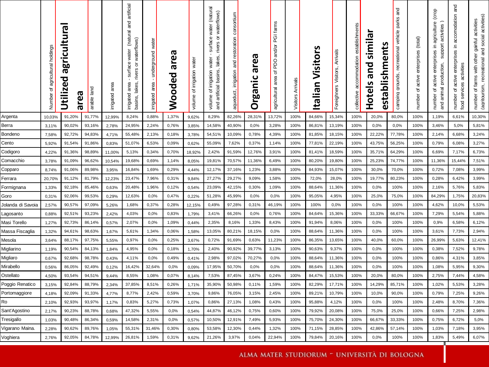|                           | Number of agricultural holdings | agricultura<br>Utilized<br>area | land<br>arable   | area<br>irrigated | artificial<br>and<br>(natural<br>waterflows)<br>surface water<br>rivers or<br>$\blacksquare$<br>basins, lakes,<br>area<br>irrigated | water<br>underground<br>area<br>irrigated | area<br>Wooded | water<br>irrigation<br>৳<br>volume | - surface water (natural<br>rivers or waterflows)<br>and artificial basins, lakes,<br>irrigation water<br>volume of | consortium<br>restoration<br>$\frac{1}{2}$<br>irrigation<br>aqueduct, | rea<br>ത<br>Organic | PGI farms<br>agricultural area of PDO and/or | Visitors Arrivals | Italian Visitors | Arrivals<br>Visitors,<br>Foreighners | collective accommodation establishments | simila<br>establishments<br>Hotels and | and<br>parks<br>recreational vehicle<br>camping grounds, | active enterprises (total)<br>৳<br>number | agriculture (crop<br>activities)<br>support<br>ءَ.<br>active enterprises<br>and animal production,<br>$\mathfrak{g}$<br>number | and<br>in accomodation<br>active enterprises<br>activities<br>food services<br>number of | number of farms with other gainful activities<br>(agritourism, recreational and social activities)<br>activities<br>gainful<br>farms with other |
|---------------------------|---------------------------------|---------------------------------|------------------|-------------------|-------------------------------------------------------------------------------------------------------------------------------------|-------------------------------------------|----------------|------------------------------------|---------------------------------------------------------------------------------------------------------------------|-----------------------------------------------------------------------|---------------------|----------------------------------------------|-------------------|------------------|--------------------------------------|-----------------------------------------|----------------------------------------|----------------------------------------------------------|-------------------------------------------|--------------------------------------------------------------------------------------------------------------------------------|------------------------------------------------------------------------------------------|-------------------------------------------------------------------------------------------------------------------------------------------------|
| Argenta                   | 10,03%                          | 91,20%                          | 91,77%           | 12,99%            | 8,24%                                                                                                                               | 0,88%                                     | 1,37%          | 9,62%                              | 8,29%                                                                                                               | 82,26%                                                                | 28,31%              | 13,72%                                       | 100%              | 84,66%           | 15,34%                               | 100%                                    | 20,0%                                  | 80,0%                                                    | 100%                                      | 1,19%                                                                                                                          | 6,61%                                                                                    | 10,30%                                                                                                                                          |
| Berra                     | 3,11%                           | 90,02%                          | 93,16%           | 2,78%             | 24,95%                                                                                                                              | 2,24%                                     | 0,76%          | 3,85%                              | 14,58%                                                                                                              | 40,90%                                                                | 0,0%                | 3,28%                                        | 100%              | 86,81%           | 13,19%                               | 100%                                    | 0,0%                                   | 0.0%                                                     | 100%                                      | 3,46%                                                                                                                          | 5,0%                                                                                     | 5,81%                                                                                                                                           |
| Bondeno                   | 7,58%                           | 92,72%                          | 94,83%           | 4,71%             | 55,48%                                                                                                                              | 2,13%                                     | 0,18%          | 3,78%                              | 54,51%                                                                                                              | 10,09%                                                                | 0,78%               | 4,39%                                        | 100%              | 81,85%           | 18,15%                               | 100%                                    | 22,22%                                 | 77,78%                                                   | 100%                                      | 2,14%                                                                                                                          | 6,68%                                                                                    | 3,24%                                                                                                                                           |
| Cento                     | 5,92%                           | 91,54%                          | 91,86%           | 0,83%             | 51,07%                                                                                                                              | 6,53%                                     | 0,09%          | 0,62%                              | 55,09%                                                                                                              | 7,62%                                                                 | 0,37%               | 1,14%                                        | 100%              | 77,81%           | 22,19%                               | 100%                                    | 43,75%                                 | 56,25%                                                   | 100%                                      | 0,79%                                                                                                                          | 6,08%                                                                                    | 3,27%                                                                                                                                           |
| Codigoro                  | 4,22%                           | 91,36%                          | 98,89%           | 11,00%            | 5,13%                                                                                                                               | 0,34%                                     | 0,70%          | 18,92%                             | 2,42%                                                                                                               | 91,59%                                                                | 12,76%              | 3,91%                                        | 100%              | 81,41%           | 18,59%                               | 100%                                    | 35,71%                                 | 64,29%                                                   | 100%                                      | 6,69%                                                                                                                          | 7,17%                                                                                    | 6,73%                                                                                                                                           |
| Comacchio                 | 3,78%                           | 91,09%                          | 96,62%           | 10,54%            | 19,68%                                                                                                                              | 0,69%                                     | 1,14%          | 8,05%                              | 19,81%                                                                                                              | 70,57%                                                                | 11,36%              | 6,49%                                        | 100%              | 80,20%           | 19,80%                               | 100%                                    | 25,23%                                 | 74,77%                                                   | 100%                                      | 11,36%                                                                                                                         | 15,44%                                                                                   | 7,51%                                                                                                                                           |
| Copparo                   | 8,74%                           | 91,06%                          | 89,98%           | 3,95%             | 16,84%                                                                                                                              | 1,69%                                     | 0,29%          | 4,44%                              | 12,17%                                                                                                              | 37,16%                                                                | 1,23%               | 3,88%                                        | 100%              | 84,93%           | 15,07%                               | 100%                                    | 30,0%                                  | 70,0%                                                    | 100%                                      | 0,72%                                                                                                                          | 7,08%                                                                                    | 3,99%                                                                                                                                           |
| Ferrara                   | 20,70%                          | 91,12%                          | 81,79%           | 12,23%            | 23,47%                                                                                                                              | 7,96%                                     | 0,31%          | 9,84%                              | 27,27%                                                                                                              | 29,27%                                                                | 9,09%               | 1,58%                                        | 100%              | 72,0%            | 28,0%                                | 100%                                    | 19,77%                                 | 80,23%                                                   | 100%                                      | 0,28%                                                                                                                          | 6,42%                                                                                    | 3,99%                                                                                                                                           |
| Formignana                | 1,33%                           | 92,18%<br>92,06%                | 85,46%<br>99,53% | 0,63%             | 20,48%<br>12,63%                                                                                                                    | 1,96%<br>0,0%                             | 0,12%          | 0,54%                              | 23,09%<br>51,28%                                                                                                    | 42,15%<br>45,99%                                                      | 0,30%<br>0,0%       | 1,09%<br>0,0%                                | 100%<br>100%      | 88,64%<br>95,05% | 11,36%<br>4,95%                      | 100%<br>100%                            | 0,0%<br>25,0%                          | 100%<br>75,0%                                            | 100%<br>100%                              | 2,16%<br>84,29%                                                                                                                | 5,76%<br>1,75%                                                                           | 5,83%<br>20,83%                                                                                                                                 |
| Goro<br>Jolanda di Savoia | 0,31%                           | 90,57%                          | 97,09%           | 0,29%<br>5,26%    | 1,68%                                                                                                                               | 0,37%                                     | 0,47%<br>0,28% | 0,22%<br>12,15%                    | 0,49%                                                                                                               | 97,28%                                                                | 0,31%               | 46,19%                                       | 100%              | 100%             | 0,0%                                 | 100%                                    | 0,0%                                   | 100%                                                     | 100%                                      | 4,62%                                                                                                                          | 10,0%                                                                                    | 5,53%                                                                                                                                           |
| Lagosanto                 | 2,57%<br>0,88%                  | 92,51%                          | 93,23%           | 2,42%             | 4,03%                                                                                                                               | 0,0%                                      | 0,83%          | 1,79%                              | 3,41%                                                                                                               | 66,26%                                                                | 0,0%                | 0,76%                                        | 100%              | 84,64%           | 15,36%                               | 100%                                    | 33,33%                                 | 66,67%                                                   | 100%                                      | 7,29%                                                                                                                          | 5,54%                                                                                    | 5,88%                                                                                                                                           |
| Masi Torello              | 1,27%                           | 92,73%                          | 86,14%           | 0,57%             | 2,07%                                                                                                                               | 0,0%                                      | 1,09%          | 0,44%                              | 2,35%                                                                                                               | 8,16%                                                                 | 1,33%               | 8,43%                                        | 100%              | 91,94%           | 8,06%                                | 100%                                    | 0,0%                                   | 100%                                                     | 100%                                      | 0,9%                                                                                                                           | 6,58%                                                                                    | 6,12%                                                                                                                                           |
| Massa Fiscaglia           | 1,32%                           | 94,61%                          | 98,63%           | 1,67%             | 5,61%                                                                                                                               | 1,34%                                     | 0,06%          | 1,58%                              | 13,05%                                                                                                              | 80,21%                                                                | 18,15%              | 0,0%                                         | 100%              | 88,64%           | 11,36%                               | 100%                                    | 0,0%                                   | 100%                                                     | 100%                                      | 3,61%                                                                                                                          | 7,73%                                                                                    | 2,94%                                                                                                                                           |
| Mesola                    | 3,64%                           | 88,17%                          | 97,75%           | 5,55%             | 0,97%                                                                                                                               | 0,0%                                      | 0,25%          | 3,67%                              | 0,72%                                                                                                               | 91,69%                                                                | 0,63%               | 11,23%                                       | 100%              | 86,35%           | 13,65%                               | 100%                                    | 40,0%                                  | 60,0%                                                    | 100%                                      | 26,99%                                                                                                                         | 5,63%                                                                                    | 12,41%                                                                                                                                          |
| Migliarino                | 1,19%                           | 90,54%                          | 84,13%           | 1,84%             | 4,95%                                                                                                                               | 0.0%                                      | 0,18%          | 1,70%                              | 2,40%                                                                                                               | 90,92%                                                                | 39,77%              | 3,13%                                        | 100%              | 90,63%           | 9,37%                                | 100%                                    | 0,0%                                   | 100%                                                     | 100%                                      | 0,38%                                                                                                                          | 7,52%                                                                                    | 9,78%                                                                                                                                           |
| Migliaro                  | 0.67%                           | 92,68%                          | 98,78%           | 0,43%             | 4,11%                                                                                                                               | 0,0%                                      | 0,49%          | 0,41%                              | 2,98%                                                                                                               | 97,02%                                                                | 70,27%              | 0,0%                                         | 100%              | 88,64%           | 11,36%                               | 100%                                    | 0,0%                                   | 100%                                                     | 100%                                      | 0,86%                                                                                                                          | 4,31%                                                                                    | 3,85%                                                                                                                                           |
| Mirabello                 | 0,56%                           | 86,05%                          | 92,49%           | 0,12%             | 16,42%                                                                                                                              | 32,64%                                    | 0,0%           | 0,09%                              | 17,95%                                                                                                              | 50,70%                                                                | 0,0%                | 0,0%                                         | 100%              | 88,64%           | 11,36%                               | 100%                                    | 0,0%                                   | 100%                                                     | 100%                                      | 1,08%                                                                                                                          | 5,95%                                                                                    | 9,30%                                                                                                                                           |
| Ostellato                 | 4,50%                           | 93,54%                          | 94,51%           | 9,44%             | 8,55%                                                                                                                               | 1,08%                                     | 0,07%          | 8,14%                              | 7,53%                                                                                                               | 87,45%                                                                | 3,67%               | 0,24%                                        | 100%              | 84,47%           | 15,53%                               | 100%                                    | 20,0%                                  | 80,0%                                                    | 100%                                      | 2,75%                                                                                                                          | 7,44%                                                                                    | 4,58%                                                                                                                                           |
| Poggio Renatico           | 3,15%                           | 92,84%                          | 88,79%           | 2,34%             | 37,85%                                                                                                                              | 8,51%                                     | 0,26%          | 1,71%                              | 35,90%                                                                                                              | 50,98%                                                                | 0,11%               | 1,59%                                        | 100%              | 82,29%           | 17,71%                               | 100%                                    | 14,29%                                 | 85,71%                                                   | 100%                                      | 1,02%                                                                                                                          | 5,53%                                                                                    | 3,28%                                                                                                                                           |
| Portomaggiore             | 4,18%                           | 92,09%                          | 91,33%           | 4,77%             | 8,77%                                                                                                                               | 2,42%                                     | 0,59%          | 3,70%                              | 9,86%                                                                                                               | 76,05%                                                                | 3,15%               | 2,45%                                        | 100%              | 89,21%           | 10,79%                               | 100%                                    | 10,0%                                  | 90,0%                                                    | 100%                                      | 0,79%                                                                                                                          | 7,25%                                                                                    | 9.26%                                                                                                                                           |
| Ro                        | 2,10%                           | 92,93%                          | 93,97%           | 1,17%             | 0,83%                                                                                                                               | 5,27%                                     | 0,73%          | 1,07%                              | 0,86%                                                                                                               | 27,13%                                                                | 1,08%               | 0,43%                                        | 100%              | 95,88%           | 4,12%                                | 100%                                    | 0,0%                                   | 100%                                                     | 100%                                      | 2,48%                                                                                                                          | 8,70%                                                                                    | 7,36%                                                                                                                                           |
| Sant'Agostino             | 2,17%                           | 90,23%                          | 88,78%           | 0,68%             | 47,32%                                                                                                                              | 5,55%                                     | 0,0%           | 0,54%                              | 44,87%                                                                                                              | 46,12%                                                                | 0,75%               | 0,60%                                        | 100%              | 79,92%           | 20,08%                               | 100%                                    | 75,0%                                  | 25,0%                                                    | 100%                                      | 0,66%                                                                                                                          | 7,25%                                                                                    | 2,98%                                                                                                                                           |
| Tresigallo                | 1,03%                           | 90,48%                          | 86,34%           | 0,59%             | 14,58%                                                                                                                              | 2,31%                                     | 0,0%           | 0,57%                              | 10,50%                                                                                                              | 12,91%                                                                | 7,49%               | 5,93%                                        | 100%              | 75,70%           | 24,30%                               | 100%                                    | 66,67%                                 | 33,33%                                                   | 100%                                      | 0,75%                                                                                                                          | 6,72%                                                                                    | 5,0%                                                                                                                                            |
| Vigarano Maina            | 2,28%                           | 90,62%                          | 89,76%           | 1,05%             | 55,31%                                                                                                                              | 31,46%                                    | 0,30%          | 0,80%                              | 53,58%                                                                                                              | 12,30%                                                                | 0,44%               | 1,32%                                        | 100%              | 71,15%           | 28,85%                               | 100%                                    | 42,86%                                 | 57,14%                                                   | 100%                                      | 1,03%                                                                                                                          | 7,18%                                                                                    | 3,95%                                                                                                                                           |
| Voghiera                  | 2,76%                           | 92,05%                          | 84,78%           | 12,99%            | 26,81%                                                                                                                              | 1,59%                                     | 0,31%          | 9,62%                              | 21,26%                                                                                                              | 3,97%                                                                 | 0,04%               | 22,94%                                       | 100%              | 79,84%           | 20,16%                               | 100%                                    | 0,0%                                   | 100%                                                     | 100%                                      | 1,83%                                                                                                                          | 5,49%                                                                                    | 6,07%                                                                                                                                           |
|                           |                                 |                                 |                  |                   |                                                                                                                                     |                                           |                |                                    |                                                                                                                     |                                                                       |                     |                                              |                   |                  |                                      |                                         |                                        |                                                          |                                           |                                                                                                                                |                                                                                          |                                                                                                                                                 |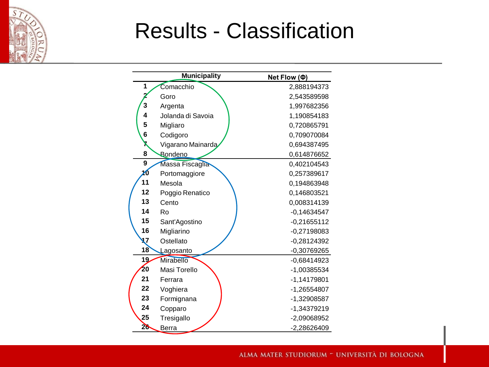

### Results - Classification

|    | <b>Municipality</b> | Net Flow (Ф)  |
|----|---------------------|---------------|
| 1  | Comacchio           | 2,888194373   |
|    | Goro                | 2,543589598   |
| 3  | Argenta             | 1,997682356   |
| 4  | Jolanda di Savoia   | 1,190854183   |
| 5  | Migliaro            | 0,720865791   |
| 6  | Codigoro            | 0,709070084   |
| X  | Vigarano Mainarda   | 0,694387495   |
| 8  | <b>Bondeno</b>      | 0,614876652   |
| 9  | Massa Fiscaglia     | 0,402104543   |
| 10 | Portomaggiore       | 0,257389617   |
| 11 | Mesola              | 0,194863948   |
| 12 | Poggio Renatico     | 0,146803521   |
| 13 | Cento               | 0,008314139   |
| 14 | Ro                  | $-0,14634547$ |
| 15 | Sant'Agostino       | $-0,21655112$ |
| 16 | Migliarino          | $-0,27198083$ |
| 17 | Ostellato           | $-0,28124392$ |
| 18 | Lagosanto           | $-0,30769265$ |
| 19 | <b>Mirabello</b>    | $-0,68414923$ |
| 20 | Masi Torello        | -1,00385534   |
| 21 | Ferrara             | $-1,14179801$ |
| 22 | Voghiera            | -1,26554807   |
| 23 | Formignana          | -1,32908587   |
| 24 | Copparo             | -1,34379219   |
| 25 | Tresigallo          | -2,09068952   |
| 26 | Berra               | -2,28626409   |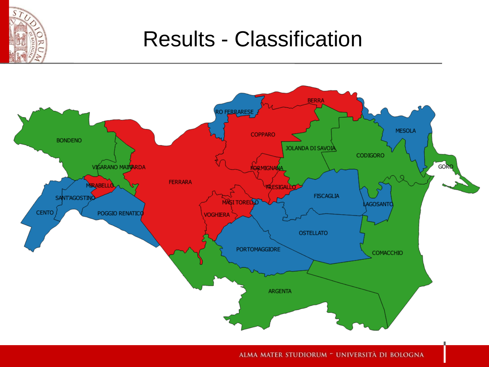

### Results - Classification

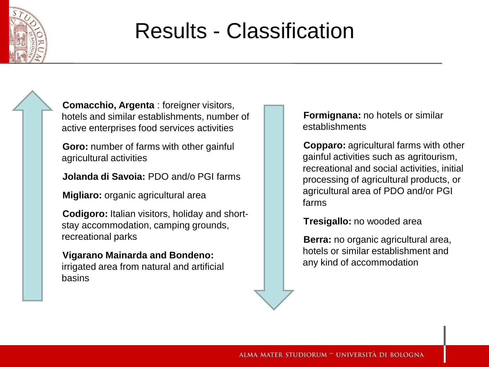

### Results - Classification

**Comacchio, Argenta** : foreigner visitors, hotels and similar establishments, number of active enterprises food services activities

**Goro:** number of farms with other gainful agricultural activities

**Jolanda di Savoia:** PDO and/o PGI farms

**Migliaro:** organic agricultural area

**Codigoro:** Italian visitors, holiday and shortstay accommodation, camping grounds, recreational parks

#### **Vigarano Mainarda and Bondeno:**

irrigated area from natural and artificial basins

**Formignana:** no hotels or similar establishments

**Copparo:** agricultural farms with other gainful activities such as agritourism, recreational and social activities, initial processing of agricultural products, or agricultural area of PDO and/or PGI farms

**Tresigallo:** no wooded area

**Berra:** no organic agricultural area, hotels or similar establishment and any kind of accommodation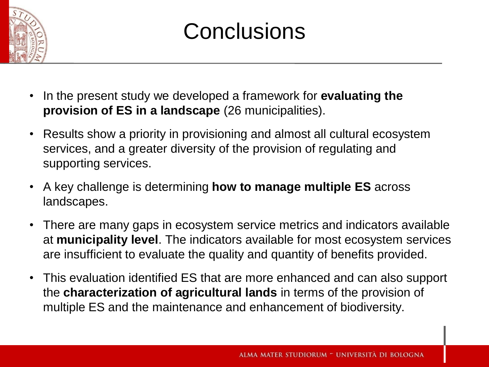

### **Conclusions**

- In the present study we developed a framework for **evaluating the provision of ES in a landscape** (26 municipalities).
- Results show a priority in provisioning and almost all cultural ecosystem services, and a greater diversity of the provision of regulating and supporting services.
- A key challenge is determining **how to manage multiple ES** across landscapes.
- There are many gaps in ecosystem service metrics and indicators available at **municipality level**. The indicators available for most ecosystem services are insufficient to evaluate the quality and quantity of benefits provided.
- This evaluation identified ES that are more enhanced and can also support the **characterization of agricultural lands** in terms of the provision of multiple ES and the maintenance and enhancement of biodiversity.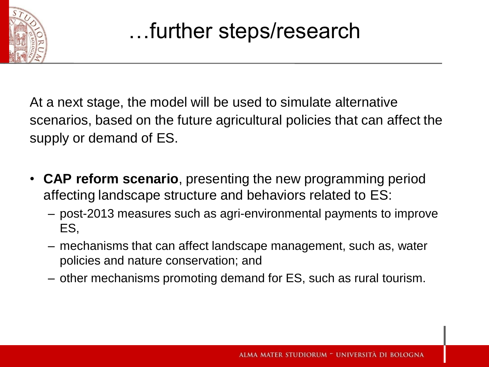

At a next stage, the model will be used to simulate alternative scenarios, based on the future agricultural policies that can affect the supply or demand of ES.

- **CAP reform scenario**, presenting the new programming period affecting landscape structure and behaviors related to ES:
	- post-2013 measures such as agri-environmental payments to improve ES,
	- mechanisms that can affect landscape management, such as, water policies and nature conservation; and
	- other mechanisms promoting demand for ES, such as rural tourism.